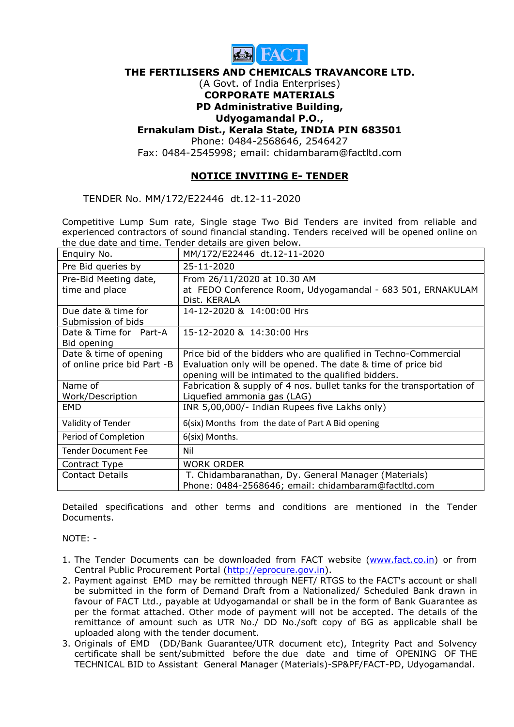

#### THE FERTILISERS AND CHEMICALS TRAVANCORE LTD.

#### (A Govt. of India Enterprises) CORPORATE MATERIALS

# PD Administrative Building,

## Udyogamandal P.O.,

### Ernakulam Dist., Kerala State, INDIA PIN 683501

Phone: 0484-2568646, 2546427

Fax: 0484-2545998; email: chidambaram@factltd.com

## NOTICE INVITING E- TENDER

TENDER No. MM/172/E22446 dt.12-11-2020

Competitive Lump Sum rate, Single stage Two Bid Tenders are invited from reliable and experienced contractors of sound financial standing. Tenders received will be opened online on the due date and time. Tender details are given below.

| Enquiry No.                               | MM/172/E22446 dt.12-11-2020                                                |
|-------------------------------------------|----------------------------------------------------------------------------|
| Pre Bid queries by                        | 25-11-2020                                                                 |
| Pre-Bid Meeting date,                     | From 26/11/2020 at 10.30 AM                                                |
| time and place                            | at FEDO Conference Room, Udyogamandal - 683 501, ERNAKULAM<br>Dist. KERALA |
| Due date & time for<br>Submission of bids | 14-12-2020 & 14:00:00 Hrs                                                  |
| Date & Time for Part-A<br>Bid opening     | 15-12-2020 & 14:30:00 Hrs                                                  |
| Date & time of opening                    | Price bid of the bidders who are qualified in Techno-Commercial            |
| of online price bid Part -B               | Evaluation only will be opened. The date & time of price bid               |
|                                           | opening will be intimated to the qualified bidders.                        |
| Name of                                   | Fabrication & supply of 4 nos. bullet tanks for the transportation of      |
| Work/Description                          | Liquefied ammonia gas (LAG)                                                |
| <b>EMD</b>                                | INR 5,00,000/- Indian Rupees five Lakhs only)                              |
| Validity of Tender                        | 6(six) Months from the date of Part A Bid opening                          |
| Period of Completion                      | 6(six) Months.                                                             |
| <b>Tender Document Fee</b>                | Nil                                                                        |
| Contract Type                             | <b>WORK ORDER</b>                                                          |
| <b>Contact Details</b>                    | T. Chidambaranathan, Dy. General Manager (Materials)                       |
|                                           | Phone: 0484-2568646; email: chidambaram@factltd.com                        |

Detailed specifications and other terms and conditions are mentioned in the Tender **Documents** 

NOTE: -

- 1. The Tender Documents can be downloaded from FACT website (www.fact.co.in) or from Central Public Procurement Portal (http://eprocure.gov.in).
- 2. Payment against EMD may be remitted through NEFT/ RTGS to the FACT's account or shall be submitted in the form of Demand Draft from a Nationalized/ Scheduled Bank drawn in favour of FACT Ltd., payable at Udyogamandal or shall be in the form of Bank Guarantee as per the format attached. Other mode of payment will not be accepted. The details of the remittance of amount such as UTR No./ DD No./soft copy of BG as applicable shall be uploaded along with the tender document.
- 3. Originals of EMD (DD/Bank Guarantee/UTR document etc), Integrity Pact and Solvency certificate shall be sent/submitted before the due date and time of OPENING OF THE TECHNICAL BID to Assistant General Manager (Materials)-SP&PF/FACT-PD, Udyogamandal.